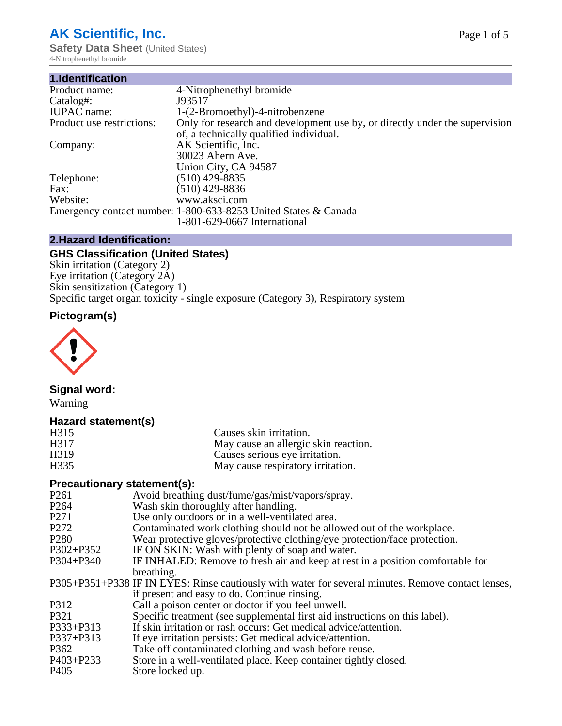# **AK Scientific, Inc.**

**Safety Data Sheet** (United States) 4-Nitrophenethyl bromide

| 1.Identification          |                                                                             |
|---------------------------|-----------------------------------------------------------------------------|
| Product name:             | 4-Nitrophenethyl bromide                                                    |
| Catalog#:                 | J93517                                                                      |
| <b>IUPAC</b> name:        | 1-(2-Bromoethyl)-4-nitrobenzene                                             |
| Product use restrictions: | Only for research and development use by, or directly under the supervision |
|                           | of, a technically qualified individual.                                     |
| Company:                  | AK Scientific, Inc.                                                         |
|                           | 30023 Ahern Ave.                                                            |
|                           | Union City, CA 94587                                                        |
| Telephone:                | $(510)$ 429-8835                                                            |
| Fax:                      | $(510)$ 429-8836                                                            |
| Website:                  | www.aksci.com                                                               |
|                           | Emergency contact number: 1-800-633-8253 United States & Canada             |
|                           | 1-801-629-0667 International                                                |

# **2.Hazard Identification:**

# **GHS Classification (United States)**

Skin irritation (Category 2) Eye irritation (Category 2A) Skin sensitization (Category 1) Specific target organ toxicity - single exposure (Category 3), Respiratory system

# **Pictogram(s)**



# **Signal word:**

Warning

# **Hazard statement(s)**

| H315                        | Causes skin irritation.                                                                            |
|-----------------------------|----------------------------------------------------------------------------------------------------|
| H317                        | May cause an allergic skin reaction.                                                               |
| H319                        | Causes serious eye irritation.                                                                     |
| H335                        | May cause respiratory irritation.                                                                  |
| Precautionary statement(s): |                                                                                                    |
| P <sub>261</sub>            | Avoid breathing dust/fume/gas/mist/vapors/spray.                                                   |
| P <sub>264</sub>            | Wash skin thoroughly after handling.                                                               |
| P <sub>271</sub>            | Use only outdoors or in a well-ventilated area.                                                    |
| P <sub>272</sub>            | Contaminated work clothing should not be allowed out of the workplace.                             |
| P <sub>280</sub>            | Wear protective gloves/protective clothing/eye protection/face protection.                         |
| $P302 + P352$               | IF ON SKIN: Wash with plenty of soap and water.                                                    |
| $P304 + P340$               | IF INHALED: Remove to fresh air and keep at rest in a position comfortable for                     |
|                             | breathing.                                                                                         |
|                             | P305+P351+P338 IF IN EYES: Rinse cautiously with water for several minutes. Remove contact lenses, |
|                             | if present and easy to do. Continue rinsing.                                                       |
| P312                        | Call a poison center or doctor if you feel unwell.                                                 |
| P321                        | Specific treatment (see supplemental first aid instructions on this label).                        |
| $P333 + P313$               | If skin irritation or rash occurs: Get medical advice/attention.                                   |
| P337+P313                   | If eye irritation persists: Get medical advice/attention.                                          |
| P362                        | Take off contaminated clothing and wash before reuse.                                              |
| P403+P233                   | Store in a well-ventilated place. Keep container tightly closed.                                   |
| P <sub>405</sub>            | Store locked up.                                                                                   |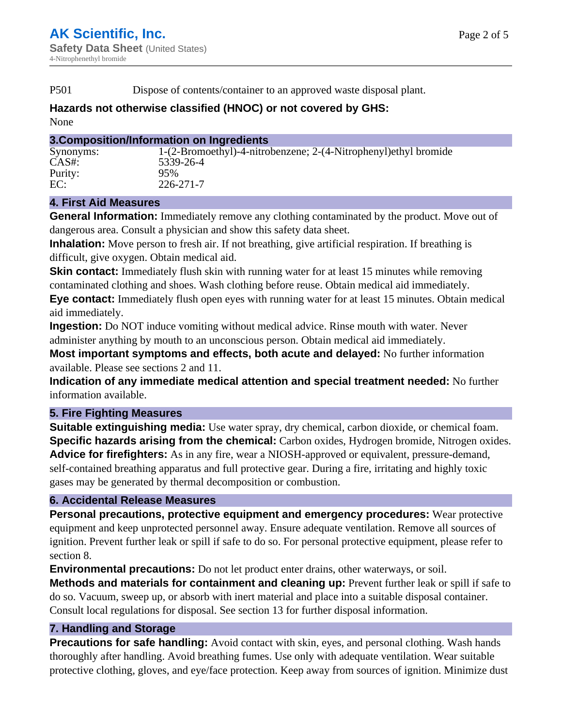P501 Dispose of contents/container to an approved waste disposal plant.

# **Hazards not otherwise classified (HNOC) or not covered by GHS:**

None

### **3.Composition/Information on Ingredients**

| Synonyms: | 1-(2-Bromoethyl)-4-nitrobenzene; 2-(4-Nitrophenyl) ethyl bromide |
|-----------|------------------------------------------------------------------|
| $CAS#$ :  | 5339-26-4                                                        |
| Purity:   | 95%                                                              |
| EC:       | 226-271-7                                                        |

# **4. First Aid Measures**

**General Information:** Immediately remove any clothing contaminated by the product. Move out of dangerous area. Consult a physician and show this safety data sheet.

**Inhalation:** Move person to fresh air. If not breathing, give artificial respiration. If breathing is difficult, give oxygen. Obtain medical aid.

**Skin contact:** Immediately flush skin with running water for at least 15 minutes while removing contaminated clothing and shoes. Wash clothing before reuse. Obtain medical aid immediately. **Eye contact:** Immediately flush open eyes with running water for at least 15 minutes. Obtain medical aid immediately.

**Ingestion:** Do NOT induce vomiting without medical advice. Rinse mouth with water. Never administer anything by mouth to an unconscious person. Obtain medical aid immediately.

**Most important symptoms and effects, both acute and delayed:** No further information available. Please see sections 2 and 11.

**Indication of any immediate medical attention and special treatment needed:** No further information available.

# **5. Fire Fighting Measures**

**Suitable extinguishing media:** Use water spray, dry chemical, carbon dioxide, or chemical foam. **Specific hazards arising from the chemical:** Carbon oxides, Hydrogen bromide, Nitrogen oxides. **Advice for firefighters:** As in any fire, wear a NIOSH-approved or equivalent, pressure-demand, self-contained breathing apparatus and full protective gear. During a fire, irritating and highly toxic gases may be generated by thermal decomposition or combustion.

# **6. Accidental Release Measures**

**Personal precautions, protective equipment and emergency procedures:** Wear protective equipment and keep unprotected personnel away. Ensure adequate ventilation. Remove all sources of ignition. Prevent further leak or spill if safe to do so. For personal protective equipment, please refer to section 8.

**Environmental precautions:** Do not let product enter drains, other waterways, or soil.

**Methods and materials for containment and cleaning up:** Prevent further leak or spill if safe to do so. Vacuum, sweep up, or absorb with inert material and place into a suitable disposal container. Consult local regulations for disposal. See section 13 for further disposal information.

# **7. Handling and Storage**

**Precautions for safe handling:** Avoid contact with skin, eyes, and personal clothing. Wash hands thoroughly after handling. Avoid breathing fumes. Use only with adequate ventilation. Wear suitable protective clothing, gloves, and eye/face protection. Keep away from sources of ignition. Minimize dust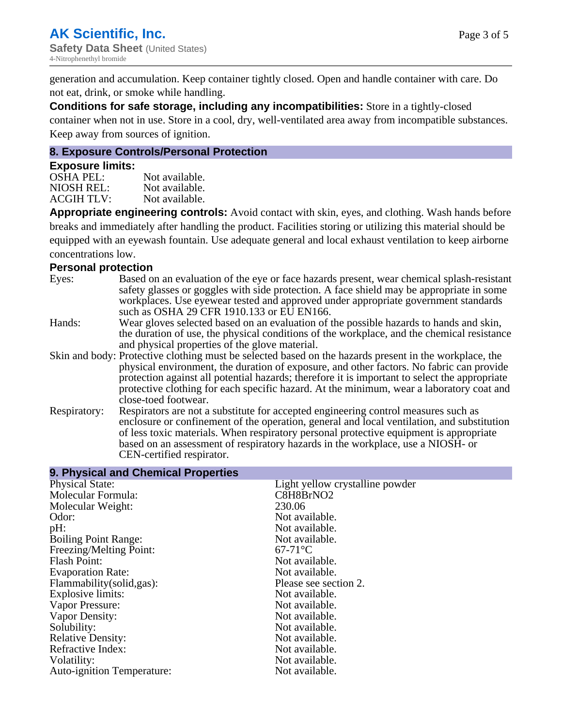generation and accumulation. Keep container tightly closed. Open and handle container with care. Do not eat, drink, or smoke while handling.

**Conditions for safe storage, including any incompatibilities:** Store in a tightly-closed container when not in use. Store in a cool, dry, well-ventilated area away from incompatible substances. Keep away from sources of ignition.

#### **8. Exposure Controls/Personal Protection**

#### **Exposure limits:**

| <b>OSHA PEL:</b>  | Not available. |
|-------------------|----------------|
| NIOSH REL:        | Not available. |
| <b>ACGIH TLV:</b> | Not available. |

**Appropriate engineering controls:** Avoid contact with skin, eyes, and clothing. Wash hands before breaks and immediately after handling the product. Facilities storing or utilizing this material should be equipped with an eyewash fountain. Use adequate general and local exhaust ventilation to keep airborne concentrations low.

#### **Personal protection**

| Eyes:        | Based on an evaluation of the eye or face hazards present, wear chemical splash-resistant<br>safety glasses or goggles with side protection. A face shield may be appropriate in some<br>workplaces. Use eyewear tested and approved under appropriate government standards<br>such as OSHA 29 CFR 1910.133 or EU EN166.                                                                                                |
|--------------|-------------------------------------------------------------------------------------------------------------------------------------------------------------------------------------------------------------------------------------------------------------------------------------------------------------------------------------------------------------------------------------------------------------------------|
| Hands:       | Wear gloves selected based on an evaluation of the possible hazards to hands and skin,<br>the duration of use, the physical conditions of the workplace, and the chemical resistance<br>and physical properties of the glove material.                                                                                                                                                                                  |
|              | Skin and body: Protective clothing must be selected based on the hazards present in the workplace, the<br>physical environment, the duration of exposure, and other factors. No fabric can provide<br>protection against all potential hazards; therefore it is important to select the appropriate<br>protective clothing for each specific hazard. At the minimum, wear a laboratory coat and<br>close-toed footwear. |
| Respiratory: | Respirators are not a substitute for accepted engineering control measures such as<br>enclosure or confinement of the operation, general and local ventilation, and substitution<br>of less toxic materials. When respiratory personal protective equipment is appropriate<br>based on an assessment of respiratory hazards in the workplace, use a NIOSH- or<br>CEN-certified respirator.                              |

| Light yellow crystalline powder |
|---------------------------------|
| C8H8BrNO2                       |
| 230.06                          |
| Not available.                  |
| Not available.                  |
| Not available.                  |
| $67-71$ °C                      |
| Not available.                  |
| Not available.                  |
| Please see section 2.           |
| Not available.                  |
| Not available.                  |
| Not available.                  |
| Not available.                  |
| Not available.                  |
| Not available.                  |
| Not available.                  |
| Not available.                  |
|                                 |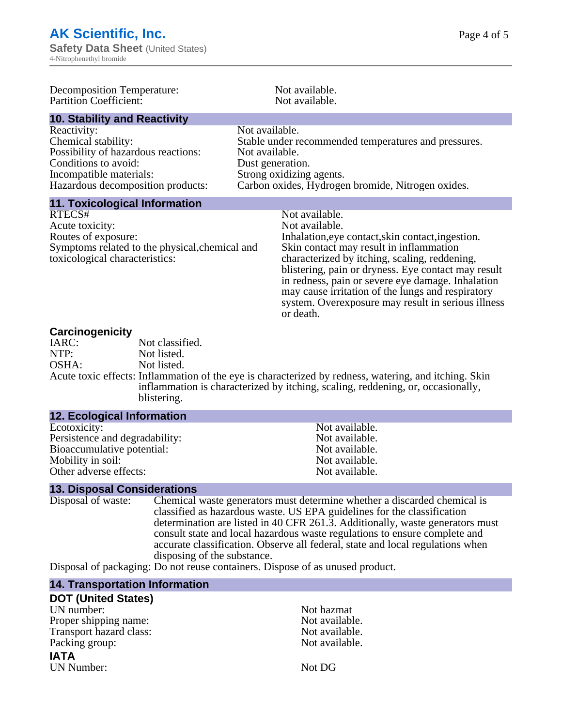| Decomposition Temperature:<br><b>Partition Coefficient:</b>                                                                                                       | Not available.<br>Not available.                                                                                                                                                                                                                                                                                                                                                                                      |
|-------------------------------------------------------------------------------------------------------------------------------------------------------------------|-----------------------------------------------------------------------------------------------------------------------------------------------------------------------------------------------------------------------------------------------------------------------------------------------------------------------------------------------------------------------------------------------------------------------|
| <b>10. Stability and Reactivity</b>                                                                                                                               |                                                                                                                                                                                                                                                                                                                                                                                                                       |
| Reactivity:<br>Chemical stability:<br>Possibility of hazardous reactions:<br>Conditions to avoid:<br>Incompatible materials:<br>Hazardous decomposition products: | Not available.<br>Stable under recommended temperatures and pressures.<br>Not available.<br>Dust generation.<br>Strong oxidizing agents.<br>Carbon oxides, Hydrogen bromide, Nitrogen oxides.                                                                                                                                                                                                                         |
| <b>11. Toxicological Information</b>                                                                                                                              |                                                                                                                                                                                                                                                                                                                                                                                                                       |
| RTECS#<br>Acute toxicity:<br>Routes of exposure:<br>Symptoms related to the physical, chemical and<br>toxicological characteristics:                              | Not available.<br>Not available.<br>Inhalation, eye contact, skin contact, ingestion.<br>Skin contact may result in inflammation<br>characterized by itching, scaling, reddening,<br>blistering, pain or dryness. Eye contact may result<br>in redness, pain or severe eye damage. Inhalation<br>may cause irritation of the lungs and respiratory<br>system. Overexposure may result in serious illness<br>or death. |
| Carcinogenicity<br>Not classified<br>$I \wedge D \cap \cdot$                                                                                                      |                                                                                                                                                                                                                                                                                                                                                                                                                       |

| ___________ |                                                                                                       |
|-------------|-------------------------------------------------------------------------------------------------------|
| IARC:       | Not classified.                                                                                       |
| NTP:        | Not listed.                                                                                           |
| OSHA:       | Not listed.                                                                                           |
|             | Acute toxic effects: Inflammation of the eye is characterized by redness, watering, and itching. Skin |
|             | inflammation is characterized by itching, scaling, reddening, or, occasionally,                       |
|             | blistering.                                                                                           |

| <b>12. ECOlogical Information</b> |                |
|-----------------------------------|----------------|
| Ecotoxicity:                      | Not available. |
| Persistence and degradability:    | Not available. |
| Bioaccumulative potential:        | Not available. |
| Mobility in soil:                 | Not available. |
| Other adverse effects:            | Not available. |

# **13. Disposal Considerations**

**12. Ecological Information**

Chemical waste generators must determine whether a discarded chemical is classified as hazardous waste. US EPA guidelines for the classification determination are listed in 40 CFR 261.3. Additionally, waste generators must consult state and local hazardous waste regulations to ensure complete and accurate classification. Observe all federal, state and local regulations when disposing of the substance.

Disposal of packaging: Do not reuse containers. Dispose of as unused product.

#### **14. Transportation Information**

| <b>DOT (United States)</b> |                |
|----------------------------|----------------|
| UN number:                 | Not hazmat     |
| Proper shipping name:      | Not available. |
| Transport hazard class:    | Not available. |
| Packing group:             | Not available. |
| <b>IATA</b>                |                |
| UN Number:                 | Not DG         |